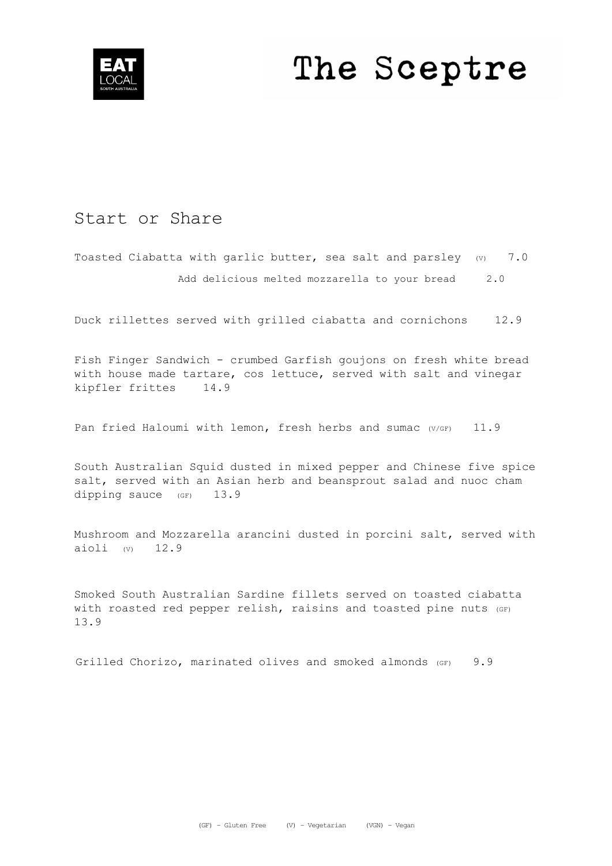

# The Sceptre

## Start or Share

Toasted Ciabatta with garlic butter, sea salt and parsley (v) 7.0 Add delicious melted mozzarella to your bread 2.0

Duck rillettes served with grilled ciabatta and cornichons 12.9

Fish Finger Sandwich - crumbed Garfish goujons on fresh white bread with house made tartare, cos lettuce, served with salt and vinegar kipfler frittes 14.9

Pan fried Haloumi with lemon, fresh herbs and sumac (V/GF) 11.9

South Australian Squid dusted in mixed pepper and Chinese five spice salt, served with an Asian herb and beansprout salad and nuoc cham dipping sauce (GF) 13.9

Mushroom and Mozzarella arancini dusted in porcini salt, served with aioli  $(v)$  12.9

Smoked South Australian Sardine fillets served on toasted ciabatta with roasted red pepper relish, raisins and toasted pine nuts (GF) 13.9

Grilled Chorizo, marinated olives and smoked almonds (GF) 9.9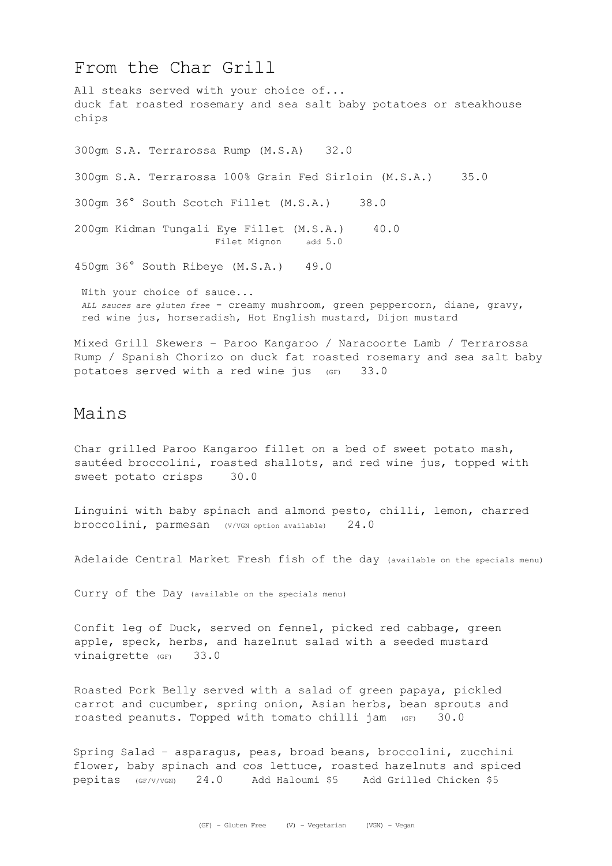#### From the Char Grill

All steaks served with your choice of... duck fat roasted rosemary and sea salt baby potatoes or steakhouse chips 300gm S.A. Terrarossa Rump (M.S.A) 32.0 300gm S.A. Terrarossa 100% Grain Fed Sirloin (M.S.A.) 35.0 300gm 36° South Scotch Fillet (M.S.A.) 38.0 200gm Kidman Tungali Eye Fillet (M.S.A.) 40.0 Filet Mignon add 5.0 450gm 36° South Ribeye (M.S.A.) 49.0 With your choice of sauce... *ALL sauces are gluten free* - creamy mushroom, green peppercorn, diane, gravy, red wine jus, horseradish, Hot English mustard, Dijon mustard Mixed Grill Skewers – Paroo Kangaroo / Naracoorte Lamb / Terrarossa

Rump / Spanish Chorizo on duck fat roasted rosemary and sea salt baby potatoes served with a red wine jus (GF) 33.0

#### Mains

Char grilled Paroo Kangaroo fillet on a bed of sweet potato mash, sautéed broccolini, roasted shallots, and red wine jus, topped with sweet potato crisps 30.0

Linguini with baby spinach and almond pesto, chilli, lemon, charred broccolini, parmesan (V/VGN option available) 24.0

Adelaide Central Market Fresh fish of the day (available on the specials menu)

Curry of the Day (available on the specials menu)

Confit leg of Duck, served on fennel, picked red cabbage, green apple, speck, herbs, and hazelnut salad with a seeded mustard vinaigrette (GF) 33.0

Roasted Pork Belly served with a salad of green papaya, pickled carrot and cucumber, spring onion, Asian herbs, bean sprouts and roasted peanuts. Topped with tomato chilli jam (GF) 30.0

Spring Salad – asparagus, peas, broad beans, broccolini, zucchini flower, baby spinach and cos lettuce, roasted hazelnuts and spiced pepitas (GF/V/VGN) 24.0 Add Haloumi \$5 Add Grilled Chicken \$5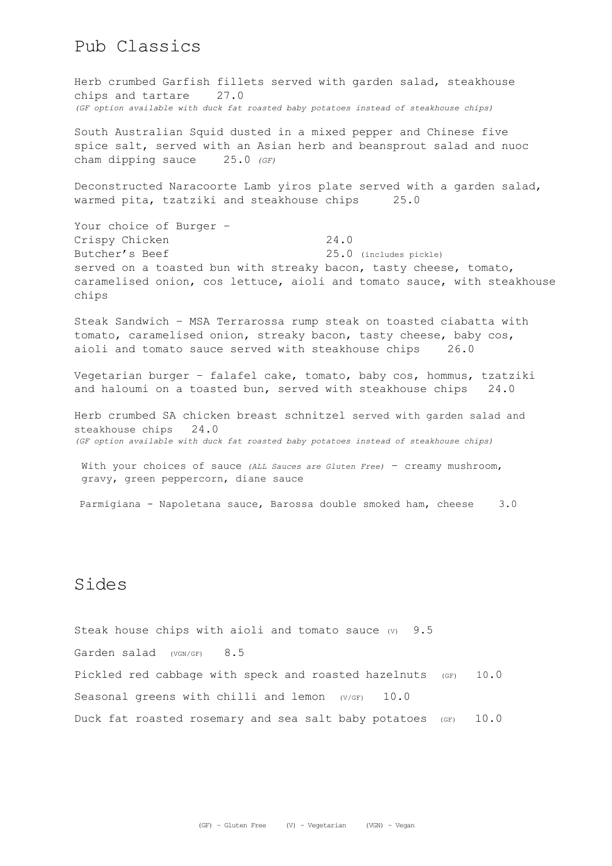#### Pub Classics

Herb crumbed Garfish fillets served with garden salad, steakhouse chips and tartare 27.0 *(GF option available with duck fat roasted baby potatoes instead of steakhouse chips)*

South Australian Squid dusted in a mixed pepper and Chinese five spice salt, served with an Asian herb and beansprout salad and nuoc cham dipping sauce 25.0 *(GF)*

Deconstructed Naracoorte Lamb yiros plate served with a garden salad, warmed pita, tzatziki and steakhouse chips 25.0

Your choice of Burger – Crispy Chicken 24.0 Butcher's Beef 25.0 (includes pickle) served on a toasted bun with streaky bacon, tasty cheese, tomato, caramelised onion, cos lettuce, aioli and tomato sauce, with steakhouse chips

Steak Sandwich – MSA Terrarossa rump steak on toasted ciabatta with tomato, caramelised onion, streaky bacon, tasty cheese, baby cos, aioli and tomato sauce served with steakhouse chips 26.0

Vegetarian burger – falafel cake, tomato, baby cos, hommus, tzatziki and haloumi on a toasted bun, served with steakhouse chips 24.0

Herb crumbed SA chicken breast schnitzel served with garden salad and steakhouse chips 24.0 *(GF option available with duck fat roasted baby potatoes instead of steakhouse chips)*

With your choices of sauce *(ALL Sauces are Gluten Free)* – creamy mushroom, gravy, green peppercorn, diane sauce

Parmigiana - Napoletana sauce, Barossa double smoked ham, cheese 3.0

#### Sides

Steak house chips with aioli and tomato sauce  $(v)$  9.5 Garden salad (VGN/GF) 8.5 Pickled red cabbage with speck and roasted hazelnuts (GF) 10.0 Seasonal greens with chilli and lemon (V/GF) 10.0 Duck fat roasted rosemary and sea salt baby potatoes  $(GF)$  10.0